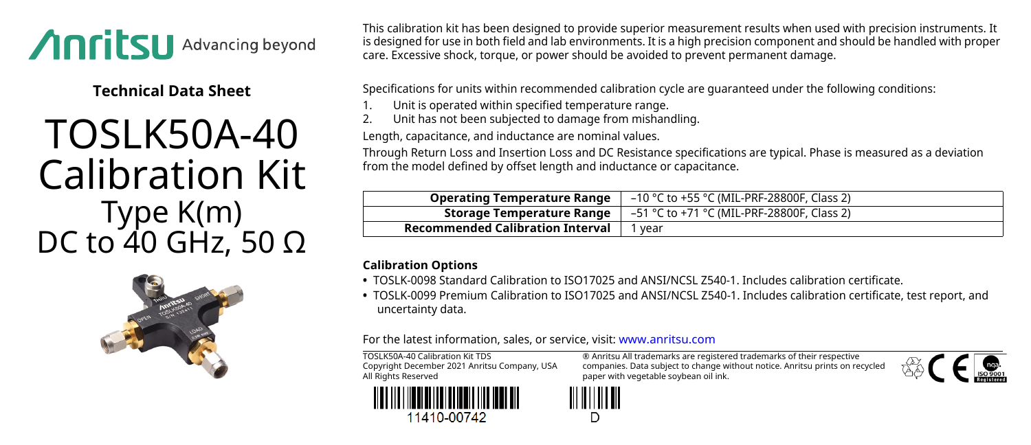

**Technical Data Sheet**

## TOSLK50A-40 Calibration Kit Type K(m) DC to 40 GHz, 50 Ω



This calibration kit has been designed to provide superior measurement results when used with precision instruments. It is designed for use in both field and lab environments. It is a high precision component and should be handled with proper care. Excessive shock, torque, or power should be avoided to prevent permanent damage.

Specifications for units within recommended calibration cycle are guaranteed under the following conditions:

- Unit is operated within specified temperature range.
- 2. Unit has not been subjected to damage from mishandling.

Length, capacitance, and inductance are nominal values.

Through Return Loss and Insertion Loss and DC Resistance specifications are typical. Phase is measured as a deviation from the model defined by offset length and inductance or capacitance.

| <b>Operating Temperature Range</b>      | –10 °C to +55 °C (MIL-PRF-28800F, Class 2) |
|-----------------------------------------|--------------------------------------------|
| Storage Temperature Range               | –51 °C to +71 °C (MIL-PRF-28800F, Class 2) |
| <b>Recommended Calibration Interval</b> | vear                                       |

## **Calibration Options**

- **•** TOSLK-0098 Standard Calibration to ISO17025 and ANSI/NCSL Z540-1. Includes calibration certificate.
- **•** TOSLK-0099 Premium Calibration to ISO17025 and ANSI/NCSL Z540-1. Includes calibration certificate, test report, and uncertainty data.

For the latest information, sales, or service, visit: [www.anritsu.com](http://www.anritsu.com)

TOSLK50A-40 Calibration Kit TDS Copyright December 2021 Anritsu Company, USA All Rights Reserved



® Anritsu All trademarks are registered trademarks of their respective companies. Data subject to change without notice. Anritsu prints on recycled paper with vegetable soybean oil ink.